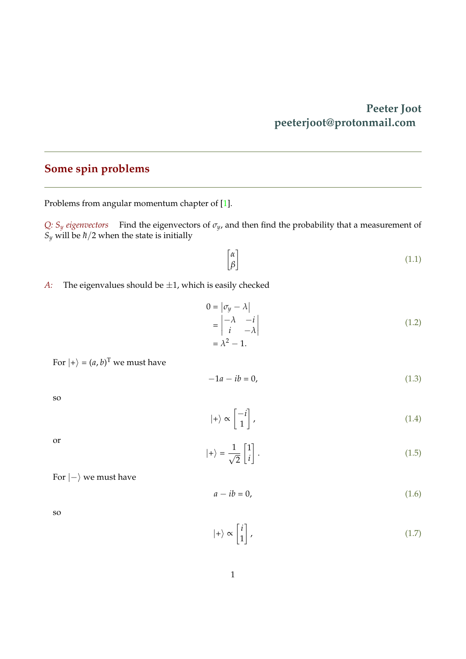## **Peeter Joot peeterjoot@protonmail.com**

## <span id="page-0-0"></span>**Some spin problems**

Problems from angular momentum chapter of [\[1\]](#page-3-0).

*Q: S<sup>y</sup> eigenvectors* Find the eigenvectors of *σy*, and then find the probability that a measurement of  $S_y$  will be  $\hbar/2$  when the state is initially

$$
\begin{bmatrix} \alpha \\ \beta \end{bmatrix} \tag{1.1}
$$

*A*: The eigenvalues should be  $\pm 1$ , which is easily checked

$$
0 = |\sigma_y - \lambda|
$$
  
=  $|\begin{matrix} -\lambda & -i \\ i & -\lambda \end{matrix}|$   
=  $\lambda^2 - 1$ . (1.2)

For  $|+\rangle = (a, b)^T$  we must have

$$
-1a - ib = 0,\t(1.3)
$$

so

$$
|+\rangle \propto \begin{bmatrix} -i \\ 1 \end{bmatrix},\tag{1.4}
$$

or

$$
|+\rangle = \frac{1}{\sqrt{2}} \begin{bmatrix} 1 \\ i \end{bmatrix} . \tag{1.5}
$$

For  $|-\rangle$  we must have

$$
a - ib = 0,\t(1.6)
$$

so

$$
|+\rangle \propto \begin{bmatrix} i \\ 1 \end{bmatrix}, \tag{1.7}
$$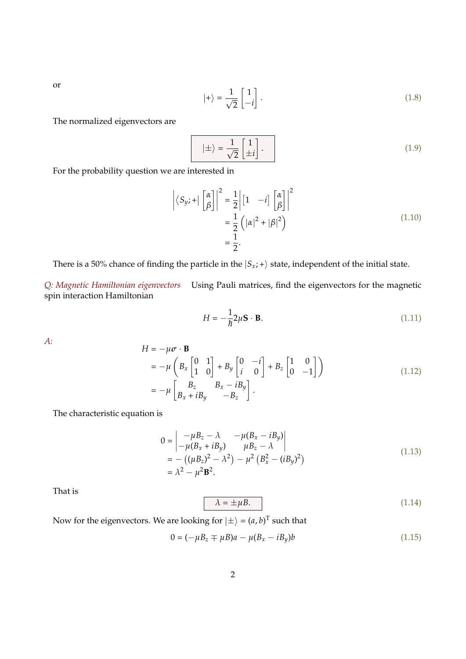or

$$
|+\rangle = \frac{1}{\sqrt{2}} \begin{bmatrix} 1 \\ -i \end{bmatrix} . \tag{1.8}
$$

The normalized eigenvectors are

$$
|\pm\rangle = \frac{1}{\sqrt{2}} \begin{bmatrix} 1 \\ \pm i \end{bmatrix} . \tag{1.9}
$$

For the probability question we are interested in

$$
\left| \langle S_{y} ; + | \begin{bmatrix} \alpha \\ \beta \end{bmatrix} \right|^2 = \frac{1}{2} \left| \begin{bmatrix} 1 & -i \end{bmatrix} \begin{bmatrix} \alpha \\ \beta \end{bmatrix} \right|^2
$$

$$
= \frac{1}{2} \left( |\alpha|^2 + |\beta|^2 \right)
$$

$$
= \frac{1}{2}.
$$
 (1.10)

There is a 50% chance of finding the particle in the  $|S_x; +\rangle$  state, independent of the initial state.

*Q: Magnetic Hamiltonian eigenvectors* Using Pauli matrices, find the eigenvectors for the magnetic spin interaction Hamiltonian

$$
H = -\frac{1}{\hbar} 2\mu \mathbf{S} \cdot \mathbf{B}.
$$
 (1.11)

*A:*

$$
H = -\mu \sigma \cdot \mathbf{B}
$$
  
=  $-\mu \left( B_x \begin{bmatrix} 0 & 1 \\ 1 & 0 \end{bmatrix} + B_y \begin{bmatrix} 0 & -i \\ i & 0 \end{bmatrix} + B_z \begin{bmatrix} 1 & 0 \\ 0 & -1 \end{bmatrix} \right)$   
=  $-\mu \begin{bmatrix} B_z & B_x - iB_y \\ B_x + iB_y & -B_z \end{bmatrix}$ . (1.12)

The characteristic equation is

$$
0 = \begin{vmatrix} -\mu B_z - \lambda & -\mu (B_x - iB_y) \\ -\mu (B_x + iB_y) & \mu B_z - \lambda \end{vmatrix}
$$
  
= - ((\mu B\_z)^2 - \lambda^2) - \mu^2 (B\_x^2 - (iB\_y)^2)  
= \lambda^2 - \mu^2 \mathbf{B}^2. (1.13)

That is

$$
\lambda = \pm \mu B. \tag{1.14}
$$

Now for the eigenvectors. We are looking for  $|\pm\rangle = (a, b)^T$  such that

$$
0 = (-\mu B_z \mp \mu B)a - \mu (B_x - iB_y)b
$$
 (1.15)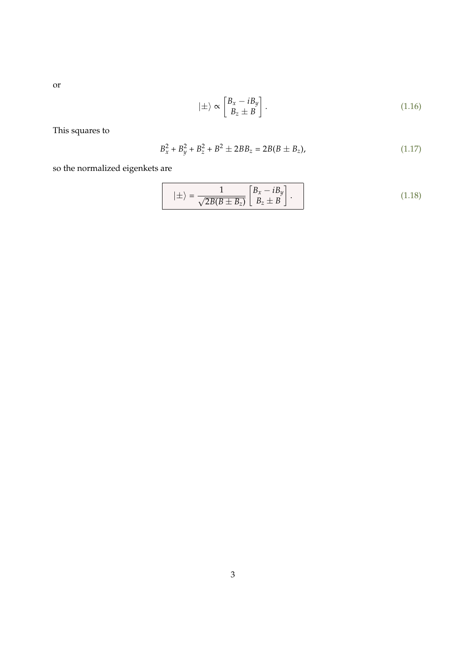or

$$
|\pm\rangle \propto \begin{bmatrix} B_x - iB_y \\ B_z \pm B \end{bmatrix} . \tag{1.16}
$$

This squares to

$$
B_x^2 + B_y^2 + B_z^2 + B^2 \pm 2BB_z = 2B(B \pm B_z), \tag{1.17}
$$

so the normalized eigenkets are

$$
|\pm\rangle = \frac{1}{\sqrt{2B(B \pm B_z)}} \begin{bmatrix} B_x - iB_y \\ B_z \pm B \end{bmatrix} .
$$
 (1.18)